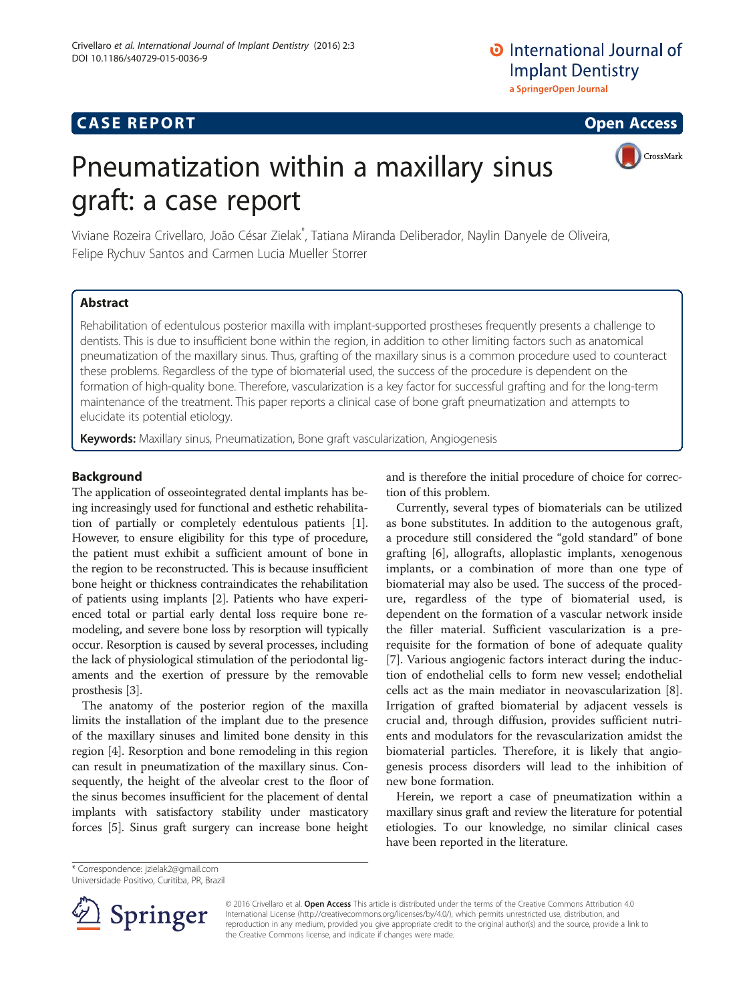## **CASE REPORT CASE REPORT CASE REPORT**



# Pneumatization within a maxillary sinus graft: a case report

Viviane Rozeira Crivellaro, João César Zielak\* , Tatiana Miranda Deliberador, Naylin Danyele de Oliveira, Felipe Rychuv Santos and Carmen Lucia Mueller Storrer

### Abstract

Rehabilitation of edentulous posterior maxilla with implant-supported prostheses frequently presents a challenge to dentists. This is due to insufficient bone within the region, in addition to other limiting factors such as anatomical pneumatization of the maxillary sinus. Thus, grafting of the maxillary sinus is a common procedure used to counteract these problems. Regardless of the type of biomaterial used, the success of the procedure is dependent on the formation of high-quality bone. Therefore, vascularization is a key factor for successful grafting and for the long-term maintenance of the treatment. This paper reports a clinical case of bone graft pneumatization and attempts to elucidate its potential etiology.

Keywords: Maxillary sinus, Pneumatization, Bone graft vascularization, Angiogenesis

#### Background

The application of osseointegrated dental implants has being increasingly used for functional and esthetic rehabilitation of partially or completely edentulous patients [[1](#page-3-0)]. However, to ensure eligibility for this type of procedure, the patient must exhibit a sufficient amount of bone in the region to be reconstructed. This is because insufficient bone height or thickness contraindicates the rehabilitation of patients using implants [\[2](#page-3-0)]. Patients who have experienced total or partial early dental loss require bone remodeling, and severe bone loss by resorption will typically occur. Resorption is caused by several processes, including the lack of physiological stimulation of the periodontal ligaments and the exertion of pressure by the removable prosthesis [\[3](#page-3-0)].

The anatomy of the posterior region of the maxilla limits the installation of the implant due to the presence of the maxillary sinuses and limited bone density in this region [\[4](#page--1-0)]. Resorption and bone remodeling in this region can result in pneumatization of the maxillary sinus. Consequently, the height of the alveolar crest to the floor of the sinus becomes insufficient for the placement of dental implants with satisfactory stability under masticatory forces [\[5\]](#page--1-0). Sinus graft surgery can increase bone height and is therefore the initial procedure of choice for correction of this problem.

Currently, several types of biomaterials can be utilized as bone substitutes. In addition to the autogenous graft, a procedure still considered the "gold standard" of bone grafting [[6\]](#page--1-0), allografts, alloplastic implants, xenogenous implants, or a combination of more than one type of biomaterial may also be used. The success of the procedure, regardless of the type of biomaterial used, is dependent on the formation of a vascular network inside the filler material. Sufficient vascularization is a prerequisite for the formation of bone of adequate quality [[7\]](#page--1-0). Various angiogenic factors interact during the induction of endothelial cells to form new vessel; endothelial cells act as the main mediator in neovascularization [\[8](#page--1-0)]. Irrigation of grafted biomaterial by adjacent vessels is crucial and, through diffusion, provides sufficient nutrients and modulators for the revascularization amidst the biomaterial particles. Therefore, it is likely that angiogenesis process disorders will lead to the inhibition of new bone formation.

Herein, we report a case of pneumatization within a maxillary sinus graft and review the literature for potential etiologies. To our knowledge, no similar clinical cases have been reported in the literature.

\* Correspondence: [jzielak2@gmail.com](mailto:jzielak2@gmail.com)

Universidade Positivo, Curitiba, PR, Brazil



© 2016 Crivellaro et al. Open Access This article is distributed under the terms of the Creative Commons Attribution 4.0 International License ([http://creativecommons.org/licenses/by/4.0/\)](http://creativecommons.org/licenses/by/4.0/), which permits unrestricted use, distribution, and reproduction in any medium, provided you give appropriate credit to the original author(s) and the source, provide a link to the Creative Commons license, and indicate if changes were made.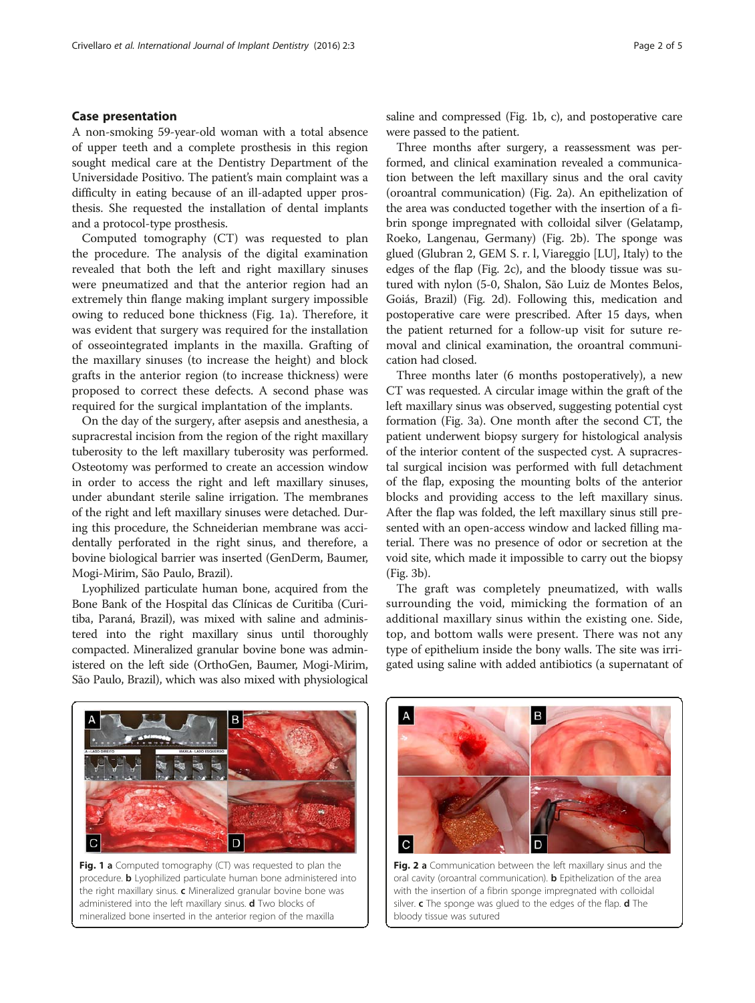#### Case presentation

A non-smoking 59-year-old woman with a total absence of upper teeth and a complete prosthesis in this region sought medical care at the Dentistry Department of the Universidade Positivo. The patient's main complaint was a difficulty in eating because of an ill-adapted upper prosthesis. She requested the installation of dental implants and a protocol-type prosthesis.

Computed tomography (CT) was requested to plan the procedure. The analysis of the digital examination revealed that both the left and right maxillary sinuses were pneumatized and that the anterior region had an extremely thin flange making implant surgery impossible owing to reduced bone thickness (Fig. 1a). Therefore, it was evident that surgery was required for the installation of osseointegrated implants in the maxilla. Grafting of the maxillary sinuses (to increase the height) and block grafts in the anterior region (to increase thickness) were proposed to correct these defects. A second phase was required for the surgical implantation of the implants.

On the day of the surgery, after asepsis and anesthesia, a supracrestal incision from the region of the right maxillary tuberosity to the left maxillary tuberosity was performed. Osteotomy was performed to create an accession window in order to access the right and left maxillary sinuses, under abundant sterile saline irrigation. The membranes of the right and left maxillary sinuses were detached. During this procedure, the Schneiderian membrane was accidentally perforated in the right sinus, and therefore, a bovine biological barrier was inserted (GenDerm, Baumer, Mogi-Mirim, São Paulo, Brazil).

Lyophilized particulate human bone, acquired from the Bone Bank of the Hospital das Clínicas de Curitiba (Curitiba, Paraná, Brazil), was mixed with saline and administered into the right maxillary sinus until thoroughly compacted. Mineralized granular bovine bone was administered on the left side (OrthoGen, Baumer, Mogi-Mirim, São Paulo, Brazil), which was also mixed with physiological

saline and compressed (Fig. 1b, c), and postoperative care were passed to the patient.

Three months after surgery, a reassessment was performed, and clinical examination revealed a communication between the left maxillary sinus and the oral cavity (oroantral communication) (Fig. 2a). An epithelization of the area was conducted together with the insertion of a fibrin sponge impregnated with colloidal silver (Gelatamp, Roeko, Langenau, Germany) (Fig. 2b). The sponge was glued (Glubran 2, GEM S. r. l, Viareggio [LU], Italy) to the edges of the flap (Fig. 2c), and the bloody tissue was sutured with nylon (5-0, Shalon, São Luiz de Montes Belos, Goiás, Brazil) (Fig. 2d). Following this, medication and postoperative care were prescribed. After 15 days, when the patient returned for a follow-up visit for suture removal and clinical examination, the oroantral communication had closed.

Three months later (6 months postoperatively), a new CT was requested. A circular image within the graft of the left maxillary sinus was observed, suggesting potential cyst formation (Fig. [3a](#page-2-0)). One month after the second CT, the patient underwent biopsy surgery for histological analysis of the interior content of the suspected cyst. A supracrestal surgical incision was performed with full detachment of the flap, exposing the mounting bolts of the anterior blocks and providing access to the left maxillary sinus. After the flap was folded, the left maxillary sinus still presented with an open-access window and lacked filling material. There was no presence of odor or secretion at the void site, which made it impossible to carry out the biopsy (Fig. [3b](#page-2-0)).

The graft was completely pneumatized, with walls surrounding the void, mimicking the formation of an additional maxillary sinus within the existing one. Side, top, and bottom walls were present. There was not any type of epithelium inside the bony walls. The site was irrigated using saline with added antibiotics (a supernatant of



Fig. 1 a Computed tomography (CT) was requested to plan the procedure. b Lyophilized particulate human bone administered into the right maxillary sinus. c Mineralized granular bovine bone was administered into the left maxillary sinus. **d** Two blocks of mineralized bone inserted in the anterior region of the maxilla



Fig. 2 a Communication between the left maxillary sinus and the oral cavity (oroantral communication). **b** Epithelization of the area with the insertion of a fibrin sponge impregnated with colloidal silver. c The sponge was glued to the edges of the flap. d The bloody tissue was sutured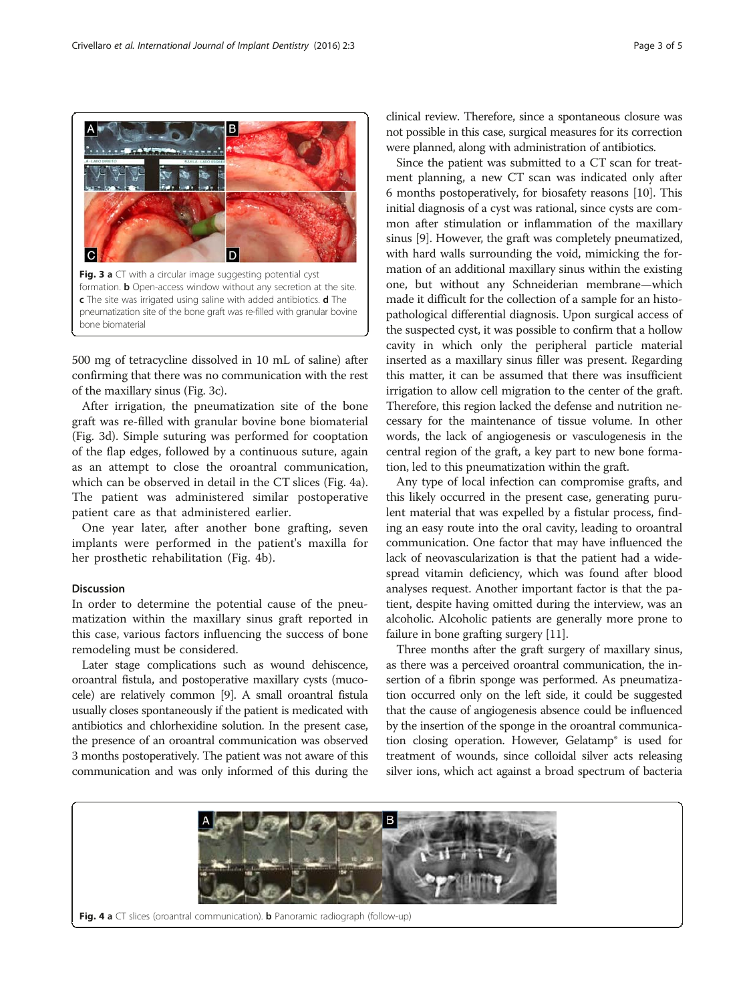500 mg of tetracycline dissolved in 10 mL of saline) after confirming that there was no communication with the rest of the maxillary sinus (Fig. 3c).

D

Fig. 3 a CT with a circular image suggesting potential cyst formation. **b** Open-access window without any secretion at the site. c The site was irrigated using saline with added antibiotics. d The pneumatization site of the bone graft was re-filled with granular bovine

After irrigation, the pneumatization site of the bone graft was re-filled with granular bovine bone biomaterial (Fig. 3d). Simple suturing was performed for cooptation of the flap edges, followed by a continuous suture, again as an attempt to close the oroantral communication, which can be observed in detail in the CT slices (Fig. 4a). The patient was administered similar postoperative patient care as that administered earlier.

One year later, after another bone grafting, seven implants were performed in the patient's maxilla for her prosthetic rehabilitation (Fig. 4b).

#### Discussion

bone biomaterial

<span id="page-2-0"></span>l C

In order to determine the potential cause of the pneumatization within the maxillary sinus graft reported in this case, various factors influencing the success of bone remodeling must be considered.

Later stage complications such as wound dehiscence, oroantral fistula, and postoperative maxillary cysts (mucocele) are relatively common [\[9\]](#page--1-0). A small oroantral fistula usually closes spontaneously if the patient is medicated with antibiotics and chlorhexidine solution. In the present case, the presence of an oroantral communication was observed 3 months postoperatively. The patient was not aware of this communication and was only informed of this during the clinical review. Therefore, since a spontaneous closure was not possible in this case, surgical measures for its correction were planned, along with administration of antibiotics.

Since the patient was submitted to a CT scan for treatment planning, a new CT scan was indicated only after 6 months postoperatively, for biosafety reasons [[10](#page--1-0)]. This initial diagnosis of a cyst was rational, since cysts are common after stimulation or inflammation of the maxillary sinus [\[9\]](#page--1-0). However, the graft was completely pneumatized, with hard walls surrounding the void, mimicking the formation of an additional maxillary sinus within the existing one, but without any Schneiderian membrane—which made it difficult for the collection of a sample for an histopathological differential diagnosis. Upon surgical access of the suspected cyst, it was possible to confirm that a hollow cavity in which only the peripheral particle material inserted as a maxillary sinus filler was present. Regarding this matter, it can be assumed that there was insufficient irrigation to allow cell migration to the center of the graft. Therefore, this region lacked the defense and nutrition necessary for the maintenance of tissue volume. In other words, the lack of angiogenesis or vasculogenesis in the central region of the graft, a key part to new bone formation, led to this pneumatization within the graft.

Any type of local infection can compromise grafts, and this likely occurred in the present case, generating purulent material that was expelled by a fistular process, finding an easy route into the oral cavity, leading to oroantral communication. One factor that may have influenced the lack of neovascularization is that the patient had a widespread vitamin deficiency, which was found after blood analyses request. Another important factor is that the patient, despite having omitted during the interview, was an alcoholic. Alcoholic patients are generally more prone to failure in bone grafting surgery [[11](#page--1-0)].

Three months after the graft surgery of maxillary sinus, as there was a perceived oroantral communication, the insertion of a fibrin sponge was performed. As pneumatization occurred only on the left side, it could be suggested that the cause of angiogenesis absence could be influenced by the insertion of the sponge in the oroantral communication closing operation. However, Gelatamp® is used for treatment of wounds, since colloidal silver acts releasing silver ions, which act against a broad spectrum of bacteria

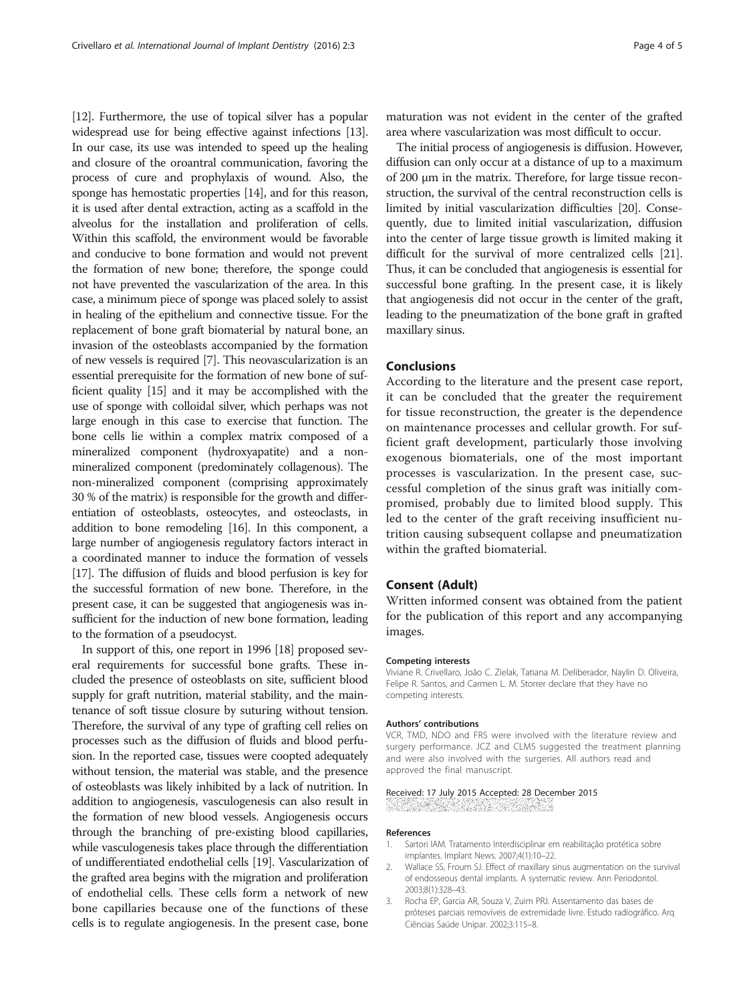<span id="page-3-0"></span>[[12](#page--1-0)]. Furthermore, the use of topical silver has a popular widespread use for being effective against infections [\[13](#page--1-0)]. In our case, its use was intended to speed up the healing and closure of the oroantral communication, favoring the process of cure and prophylaxis of wound. Also, the sponge has hemostatic properties [[14](#page--1-0)], and for this reason, it is used after dental extraction, acting as a scaffold in the alveolus for the installation and proliferation of cells. Within this scaffold, the environment would be favorable and conducive to bone formation and would not prevent the formation of new bone; therefore, the sponge could not have prevented the vascularization of the area. In this case, a minimum piece of sponge was placed solely to assist in healing of the epithelium and connective tissue. For the replacement of bone graft biomaterial by natural bone, an invasion of the osteoblasts accompanied by the formation of new vessels is required [\[7\]](#page--1-0). This neovascularization is an essential prerequisite for the formation of new bone of sufficient quality [\[15\]](#page--1-0) and it may be accomplished with the use of sponge with colloidal silver, which perhaps was not large enough in this case to exercise that function. The bone cells lie within a complex matrix composed of a mineralized component (hydroxyapatite) and a nonmineralized component (predominately collagenous). The non-mineralized component (comprising approximately 30 % of the matrix) is responsible for the growth and differentiation of osteoblasts, osteocytes, and osteoclasts, in addition to bone remodeling [\[16\]](#page--1-0). In this component, a large number of angiogenesis regulatory factors interact in a coordinated manner to induce the formation of vessels [[17](#page--1-0)]. The diffusion of fluids and blood perfusion is key for the successful formation of new bone. Therefore, in the present case, it can be suggested that angiogenesis was insufficient for the induction of new bone formation, leading to the formation of a pseudocyst.

In support of this, one report in 1996 [[18](#page--1-0)] proposed several requirements for successful bone grafts. These included the presence of osteoblasts on site, sufficient blood supply for graft nutrition, material stability, and the maintenance of soft tissue closure by suturing without tension. Therefore, the survival of any type of grafting cell relies on processes such as the diffusion of fluids and blood perfusion. In the reported case, tissues were coopted adequately without tension, the material was stable, and the presence of osteoblasts was likely inhibited by a lack of nutrition. In addition to angiogenesis, vasculogenesis can also result in the formation of new blood vessels. Angiogenesis occurs through the branching of pre-existing blood capillaries, while vasculogenesis takes place through the differentiation of undifferentiated endothelial cells [\[19\]](#page--1-0). Vascularization of the grafted area begins with the migration and proliferation of endothelial cells. These cells form a network of new bone capillaries because one of the functions of these cells is to regulate angiogenesis. In the present case, bone

maturation was not evident in the center of the grafted area where vascularization was most difficult to occur.

The initial process of angiogenesis is diffusion. However, diffusion can only occur at a distance of up to a maximum of 200 μm in the matrix. Therefore, for large tissue reconstruction, the survival of the central reconstruction cells is limited by initial vascularization difficulties [[20](#page--1-0)]. Consequently, due to limited initial vascularization, diffusion into the center of large tissue growth is limited making it difficult for the survival of more centralized cells [[21](#page--1-0)]. Thus, it can be concluded that angiogenesis is essential for successful bone grafting. In the present case, it is likely that angiogenesis did not occur in the center of the graft, leading to the pneumatization of the bone graft in grafted maxillary sinus.

#### **Conclusions**

According to the literature and the present case report, it can be concluded that the greater the requirement for tissue reconstruction, the greater is the dependence on maintenance processes and cellular growth. For sufficient graft development, particularly those involving exogenous biomaterials, one of the most important processes is vascularization. In the present case, successful completion of the sinus graft was initially compromised, probably due to limited blood supply. This led to the center of the graft receiving insufficient nutrition causing subsequent collapse and pneumatization within the grafted biomaterial.

#### Consent (Adult)

Written informed consent was obtained from the patient for the publication of this report and any accompanying images.

#### Competing interests

Viviane R. Crivellaro, João C. Zielak, Tatiana M. Deliberador, Naylin D. Oliveira, Felipe R. Santos, and Carmen L. M. Storrer declare that they have no competing interests.

#### Authors' contributions

VCR, TMD, NDO and FRS were involved with the literature review and surgery performance. JCZ and CLMS suggested the treatment planning and were also involved with the surgeries. All authors read and approved the final manuscript.

#### Received: 17 July 2015 Accepted: 28 December 2015

#### References

- 1. Sartori IAM. Tratamento Interdisciplinar em reabilitação protética sobre implantes. Implant News. 2007;4(1):10–22.
- 2. Wallace SS, Froum SJ. Effect of maxillary sinus augmentation on the survival of endosseous dental implants. A systematic review. Ann Periodontol. 2003;8(1):328–43.
- 3. Rocha EP, Garcia AR, Souza V, Zuim PRJ. Assentamento das bases de próteses parciais removíveis de extremidade livre. Estudo radiográfico. Arq Ciências Saúde Unipar. 2002;3:115–8.